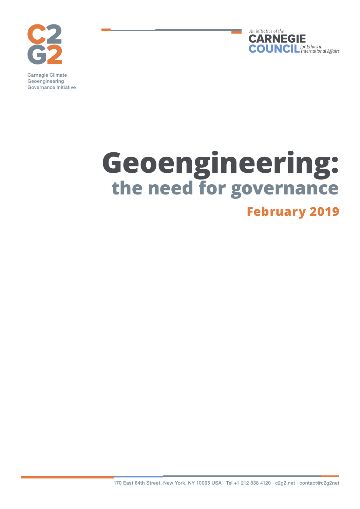



Carnegie Climate Geoengineering Governance Initiative

## **Geoengineering: the need for governance February 2019**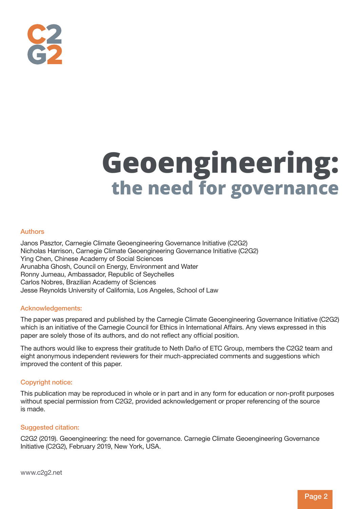

# **Geoengineering: the need for governance**

#### Authors

Janos Pasztor, Carnegie Climate Geoengineering Governance Initiative (C2G2) Nicholas Harrison, Carnegie Climate Geoengineering Governance Initiative (C2G2) Ying Chen, Chinese Academy of Social Sciences Arunabha Ghosh, Council on Energy, Environment and Water Ronny Jumeau, Ambassador, Republic of Seychelles Carlos Nobres, Brazilian Academy of Sciences Jesse Reynolds University of California, Los Angeles, School of Law

#### Acknowledgements:

The paper was prepared and published by the Carnegie Climate Geoengineering Governance Initiative (C2G2) which is an initiative of the Carnegie Council for Ethics in International Affairs. Any views expressed in this paper are solely those of its authors, and do not reflect any official position.

The authors would like to express their gratitude to Neth Daño of ETC Group, members the C2G2 team and eight anonymous independent reviewers for their much-appreciated comments and suggestions which improved the content of this paper.

#### Copyright notice:

This publication may be reproduced in whole or in part and in any form for education or non-profit purposes without special permission from C2G2, provided acknowledgement or proper referencing of the source is made.

#### Suggested citation:

C2G2 (2019). Geoengineering: the need for governance. Carnegie Climate Geoengineering Governance Initiative (C2G2), February 2019, New York, USA.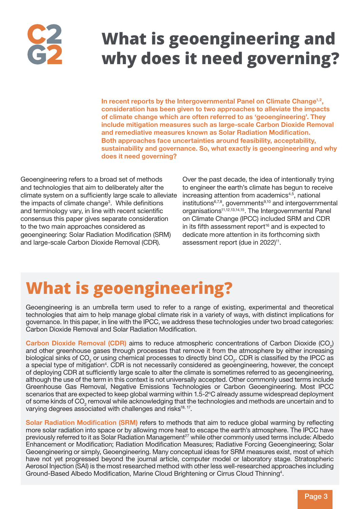## **What is geoengineering and why does it need governing?**

In recent reports by the Intergovernmental Panel on Climate Change<sup>1,2</sup>, consideration has been given to two approaches to alleviate the impacts of climate change which are often referred to as 'geoengineering'. They include mitigation measures such as large-scale Carbon Dioxide Removal and remediative measures known as Solar Radiation Modification. Both approaches face uncertainties around feasibility, acceptability, sustainability and governance. So, what exactly is geoengineering and why does it need governing?

Geoengineering refers to a broad set of methods and technologies that aim to deliberately alter the climate system on a sufficiently large scale to alleviate the impacts of climate change<sup>3</sup>. While definitions and terminology vary, in line with recent scientific consensus this paper gives separate consideration to the two main approaches considered as geoengineering: Solar Radiation Modification (SRM) and large-scale Carbon Dioxide Removal (CDR).

Over the past decade, the idea of intentionally trying to engineer the earth's climate has begun to receive increasing attention from academics<sup>4,5</sup>, national institutions<sup>6,7,8</sup>, governments<sup>9,10</sup> and intergovernmental organisations<sup>11,12,13,14,15</sup>. The Intergovernmental Panel on Climate Change (IPCC) included SRM and CDR in its fifth assessment report $16$  and is expected to dedicate more attention in its forthcoming sixth assessment report (due in 2022)<sup>11</sup>.

## **What is geoengineering?**

Geoengineering is an umbrella term used to refer to a range of existing, experimental and theoretical technologies that aim to help manage global climate risk in a variety of ways, with distinct implications for governance. In this paper, in line with the IPCC, we address these technologies under two broad categories: Carbon Dioxide Removal and Solar Radiation Modification.

**Carbon Dioxide Removal (CDR)** aims to reduce atmospheric concentrations of Carbon Dioxide (CO<sub>2</sub>) and other greenhouse gases through processes that remove it from the atmosphere by either increasing biological sinks of  $CO_2$  or using chemical processes to directly bind  $CO_2$ . CDR is classified by the IPCC as a special type of mitigation<sup>4</sup>. CDR is not necessarily considered as geoengineering, however, the concept of deploying CDR at sufficiently large scale to alter the climate is sometimes referred to as geoengineering, although the use of the term in this context is not universally accepted. Other commonly used terms include Greenhouse Gas Removal, Negative Emissions Technologies or Carbon Geoengineering. Most IPCC scenarios that are expected to keep global warming within 1.5-2°C already assume widespread deployment of some kinds of  $CO_2$  removal while acknowledging that the technologies and methods are uncertain and to varying degrees associated with challenges and risks<sup>18, 17</sup>.

Solar Radiation Modification (SRM) refers to methods that aim to reduce global warming by reflecting more solar radiation into space or by allowing more heat to escape the earth's atmosphere. The IPCC have previously referred to it as Solar Radiation Management<sup>27</sup> while other commonly used terms include: Albedo Enhancement or Modification; Radiation Modification Measures; Radiative Forcing Geoengineering; Solar Geoengineering or simply, Geoengineering. Many conceptual ideas for SRM measures exist, most of which have not yet progressed beyond the journal article, computer model or laboratory stage. Stratospheric Aerosol Injection (SAI) is the most researched method with other less well-researched approaches including Ground-Based Albedo Modification, Marine Cloud Brightening or Cirrus Cloud Thinning<sup>4</sup>.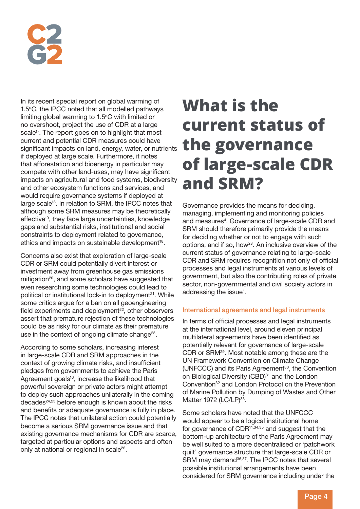

In its recent special report on global warming of 1.5°C, the IPCC noted that all modelled pathways limiting global warming to  $1.5^{\circ}$ C with limited or no overshoot, project the use of CDR at a large scale<sup>17</sup>. The report goes on to highlight that most current and potential CDR measures could have significant impacts on land, energy, water, or nutrients if deployed at large scale. Furthermore, it notes that afforestation and bioenergy in particular may compete with other land-uses, may have significant impacts on agricultural and food systems, biodiversity and other ecosystem functions and services, and would require governance systems if deployed at large scale<sup>18</sup>. In relation to SRM, the IPCC notes that although some SRM measures may be theoretically effective<sup>19</sup>, they face large uncertainties, knowledge gaps and substantial risks, institutional and social constraints to deployment related to governance, ethics and impacts on sustainable development<sup>18</sup>.

Concerns also exist that exploration of large-scale CDR or SRM could potentially divert interest or investment away from greenhouse gas emissions mitigation<sup>20</sup>, and some scholars have suggested that even researching some technologies could lead to political or institutional lock-in to deployment<sup>21</sup>. While some critics argue for a ban on all geoengineering field experiments and deployment<sup>22</sup>, other observers assert that premature rejection of these technologies could be as risky for our climate as their premature use in the context of ongoing climate change<sup>23</sup>.

According to some scholars, increasing interest in large-scale CDR and SRM approaches in the context of growing climate risks, and insufficient pledges from governments to achieve the Paris Agreement goals<sup>16</sup>, increase the likelihood that powerful sovereign or private actors might attempt to deploy such approaches unilaterally in the coming decades<sup>24,25</sup> before enough is known about the risks and benefits or adequate governance is fully in place. The IPCC notes that unilateral action could potentially become a serious SRM governance issue and that existing governance mechanisms for CDR are scarce, targeted at particular options and aspects and often only at national or regional in scale<sup>26</sup>.

## **What is the current status of the governance of large-scale CDR and SRM?**

Governance provides the means for deciding, managing, implementing and monitoring policies and measures<sup>4</sup>. Governance of large-scale CDR and SRM should therefore primarily provide the means for deciding whether or not to engage with such options, and if so, how<sup>28</sup>. An inclusive overview of the current status of governance relating to large-scale CDR and SRM requires recognition not only of official processes and legal instruments at various levels of government, but also the contributing roles of private sector, non-governmental and civil society actors in addressing the issue<sup>4</sup>.

#### International agreements and legal instruments

In terms of official processes and legal instruments at the international level, around eleven principal multilateral agreements have been identified as potentially relevant for governance of large-scale CDR or SRM29. Most notable among these are the UN Framework Convention on Climate Change (UNFCCC) and its Paris Agreement<sup>30</sup>, the Convention on Biological Diversity (CBD)<sup>31</sup> and the London Convention<sup>32</sup> and London Protocol on the Prevention of Marine Pollution by Dumping of Wastes and Other Matter 1972 (LC/LP)<sup>33</sup>.

Some scholars have noted that the UNFCCC would appear to be a logical institutional home for governance of  $CDR<sup>11,34,35</sup>$  and suggest that the bottom-up architecture of the Paris Agreement may be well suited to a more decentralised or 'patchwork quilt' governance structure that large-scale CDR or SRM may demand<sup>36,37</sup>. The IPCC notes that several possible institutional arrangements have been considered for SRM governance including under the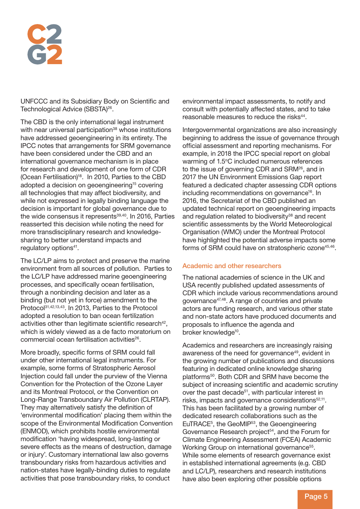UNFCCC and its Subsidiary Body on Scientific and Technological Advice (SBSTA)<sup>26</sup>.

The CBD is the only international legal instrument with near universal participation<sup>38</sup> whose institutions have addressed geoengineering in its entirety. The IPCC notes that arrangements for SRM governance have been considered under the CBD and an international governance mechanism is in place for research and development of one form of CDR (Ocean Fertilisation)<sup>18</sup>. In 2010, Parties to the CBD adopted a decision on geoengineering<sup>15</sup> covering all technologies that may affect biodiversity, and while not expressed in legally binding language the decision is important for global governance due to the wide consensus it represents<sup>39,40</sup>. In 2016, Parties reasserted this decision while noting the need for more transdisciplinary research and knowledgesharing to better understand impacts and regulatory options<sup>41</sup>.

The LC/LP aims to protect and preserve the marine environment from all sources of pollution. Parties to the LC/LP have addressed marine geoengineering processes, and specifically ocean fertilisation, through a nonbinding decision and later as a binding (but not yet in force) amendment to the Protocol<sup>31,42,13,43</sup>. In 2013. Parties to the Protocol adopted a resolution to ban ocean fertilization activities other than legitimate scientific research<sup>42</sup>. which is widely viewed as a de facto moratorium on commercial ocean fertilisation activities<sup>26</sup>.

More broadly, specific forms of SRM could fall under other international legal instruments. For example, some forms of Stratospheric Aerosol Injection could fall under the purview of the Vienna Convention for the Protection of the Ozone Layer and its Montreal Protocol, or the Convention on Long-Range Transboundary Air Pollution (CLRTAP). They may alternatively satisfy the definition of 'environmental modification' placing them within the scope of the Environmental Modification Convention (ENMOD), which prohibits hostile environmental modification 'having widespread, long-lasting or severe effects as the means of destruction, damage or injury'. Customary international law also governs transboundary risks from hazardous activities and nation-states have legally-binding duties to regulate activities that pose transboundary risks, to conduct

environmental impact assessments, to notify and consult with potentially affected states, and to take reasonable measures to reduce the risks<sup>44</sup>.

Intergovernmental organizations are also increasingly beginning to address the issue of governance through official assessment and reporting mechanisms. For example, in 2018 the IPCC special report on global warming of 1.5°C included numerous references to the issue of governing CDR and SRM<sup>26</sup>, and in 2017 the UN Environment Emissions Gap report featured a dedicated chapter assessing CDR options including recommendations on governance<sup>16</sup>. In 2016, the Secretariat of the CBD published an updated technical report on geoengineering impacts and regulation related to biodiversity<sup>38</sup> and recent scientific assessments by the World Meteorological Organisation (WMO) under the Montreal Protocol have highlighted the potential adverse impacts some forms of SRM could have on stratospheric ozone<sup>45,46</sup>.

#### Academic and other researchers

The national academies of science in the UK and USA recently published updated assessments of CDR which include various recommendations around governance47,48. A range of countries and private actors are funding research, and various other state and non-state actors have produced documents and proposals to influence the agenda and broker knowledge<sup>10</sup>.

Academics and researchers are increasingly raising awareness of the need for governance<sup>49</sup>, evident in the growing number of publications and discussions featuring in dedicated online knowledge sharing platforms50. Both CDR and SRM have become the subject of increasing scientific and academic scrutiny over the past decade<sup>51</sup>, with particular interest in risks, impacts and governance considerations<sup>52,11</sup>. This has been facilitated by a growing number of dedicated research collaborations such as the EuTRACE<sup>5</sup>, the GeoMIP<sup>53</sup>, the Geoengineering Governance Research project<sup>54</sup>, and the Forum for Climate Engineering Assessment (FCEA) Academic Working Group on international governance<sup>55</sup>. While some elements of research governance exist in established international agreements (e.g. CBD and LC/LP), researchers and research institutions have also been exploring other possible options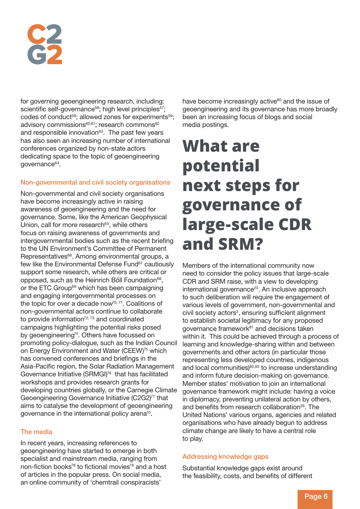for governing geoengineering research, including: scientific self-governance<sup>56</sup>; high level principles<sup>57</sup>; codes of conduct<sup>58</sup>; allowed zones for experiments<sup>59</sup>; advisory commissions<sup>60,61</sup>; research commons<sup>62</sup> and responsible innovation<sup>63</sup>. The past few years has also seen an increasing number of international conferences organized by non-state actors dedicating space to the topic of geoengineering governance<sup>64</sup>.

### Non-governmental and civil society organisations

Non-governmental and civil society organisations have become increasingly active in raising awareness of geoengineering and the need for governance. Some, like the American Geophysical Union, call for more research<sup>65</sup>, while others focus on raising awareness of governments and intergovernmental bodies such as the recent briefing to the UN Environment's Committee of Permanent Representatives<sup>66</sup>. Among environmental groups, a few like the Environmental Defense Fund<sup>67</sup> cautiously support some research, while others are critical or opposed, such as the Heinrich Böll Foundation<sup>68</sup>, or the ETC Group<sup>69</sup> which has been campaigning and engaging intergovernmental processes on the topic for over a decade now<sup> $70, 71$ </sup>. Coalitions of non-governmental actors continue to collaborate to provide information $72, 73$  and coordinated campaigns highlighting the potential risks posed by geoengineering<sup>74</sup>. Others have focussed on promoting policy-dialogue, such as the Indian Council on Energy Environment and Water (CEEW)75 which has convened conferences and briefings in the Asia-Pacific region, the Solar Radiation Management Governance Initiative (SRMGI)76 that has facilitated workshops and provides research grants for developing countries globally, or the Carnegie Climate Geoengineering Governance Initiative (C2G2)<sup>77</sup> that aims to catalyse the development of geoengineering governance in the international policy arena10.

### The media

In recent years, increasing references to geoengineering have started to emerge in both specialist and mainstream media, ranging from non-fiction books<sup>78</sup> to fictional movies<sup>79</sup> and a host of articles in the popular press. On social media, an online community of 'chemtrail conspiracists'

have become increasingly active<sup>80</sup> and the issue of geoengineering and its governance has more broadly been an increasing focus of blogs and social media postings.

## **What are potential next steps for governance of large-scale CDR and SRM?**

Members of the international community now need to consider the policy issues that large-scale CDR and SRM raise, with a view to developing international governance<sup>23</sup>. An inclusive approach to such deliberation will require the engagement of various levels of government, non-governmental and civil society actors<sup>3</sup>, ensuring sufficient alignment to establish societal legitimacy for any proposed governance framework<sup>81</sup> and decisions taken within it. This could be achieved through a process of learning and knowledge-sharing within and between governments and other actors (in particular those representing less developed countries, indigenous and local communities)<sup>82,83</sup> to increase understanding and inform future decision-making on governance. Member states' motivation to join an international governance framework might include: having a voice in diplomacy, preventing unilateral action by others, and benefits from research collaboration<sup>26</sup>. The United Nations' various organs, agencies and related organisations who have already begun to address climate change are likely to have a central role to play.

### Addressing knowledge gaps

Substantial knowledge gaps exist around the feasibility, costs, and benefits of different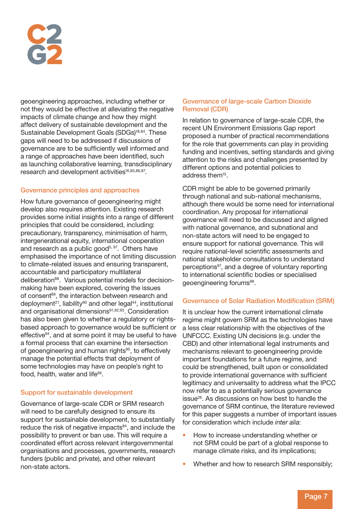geoengineering approaches, including whether or not they would be effective at alleviating the negative impacts of climate change and how they might affect delivery of sustainable development and the Sustainable Development Goals (SDGs)<sup>18,84</sup>. These gaps will need to be addressed if discussions of governance are to be sufficiently well informed and a range of approaches have been identified, such as launching collaborative learning, transdisciplinary research and development activities<sup>16,85,86,87</sup>.

### Governance principles and approaches

How future governance of geoengineering might develop also requires attention. Existing research provides some initial insights into a range of different principles that could be considered, including: precautionary, transparency, minimisation of harm, intergenerational equity, international cooperation and research as a public good<sup>5, 97</sup>. Others have emphasised the importance of not limiting discussion to climate-related issues and ensuring transparent, accountable and participatory multilateral deliberation<sup>88</sup>. Various potential models for decisionmaking have been explored, covering the issues of consent<sup>89</sup>, the interaction between research and deployment<sup>21</sup>, liability<sup>90</sup> and other legal<sup>44</sup>, institutional and organisational dimensions<sup>91,92,93</sup>. Consideration has also been given to whether a regulatory or rightsbased approach to governance would be sufficient or effective94, and at some point it may be useful to have a formal process that can examine the intersection of geoengineering and human rights<sup>95</sup>, to effectively manage the potential effects that deployment of some technologies may have on people's right to food, health, water and life<sup>96</sup>.

### Support for sustainable development

Governance of large-scale CDR or SRM research will need to be carefully designed to ensure its support for sustainable development, to substantially reduce the risk of negative impacts<sup>84</sup>, and include the possibility to prevent or ban use. This will require a coordinated effort across relevant intergovernmental organisations and processes, governments, research funders (public and private), and other relevant non-state actors.

#### Governance of large-scale Carbon Dioxide Removal (CDR)

In relation to governance of large-scale CDR, the recent UN Environment Emissions Gap report proposed a number of practical recommendations for the role that governments can play in providing funding and incentives, setting standards and giving attention to the risks and challenges presented by different options and potential policies to address them15.

CDR might be able to be governed primarily through national and sub-national mechanisms, although there would be some need for international coordination. Any proposal for international governance will need to be discussed and aligned with national governance, and subnational and non-state actors will need to be engaged to ensure support for national governance. This will require national-level scientific assessments and national stakeholder consultations to understand perceptions<sup>97</sup>, and a degree of voluntary reporting to international scientific bodies or specialised geoengineering forums<sup>98</sup>.

### Governance of Solar Radiation Modification (SRM)

It is unclear how the current international climate regime might govern SRM as the technologies have a less clear relationship with the objectives of the UNFCCC. Existing UN decisions (e.g. under the CBD) and other international legal instruments and mechanisms relevant to geoengineering provide important foundations for a future regime, and could be strengthened, built upon or consolidated to provide international governance with sufficient legitimacy and universality to address what the IPCC now refer to as a potentially serious governance issue<sup>26</sup>. As discussions on how best to handle the governance of SRM continue, the literature reviewed for this paper suggests a number of important issues for consideration which include *inter alia*:

- How to increase understanding whether or not SRM could be part of a global response to manage climate risks, and its implications;
- Whether and how to research SRM responsibly;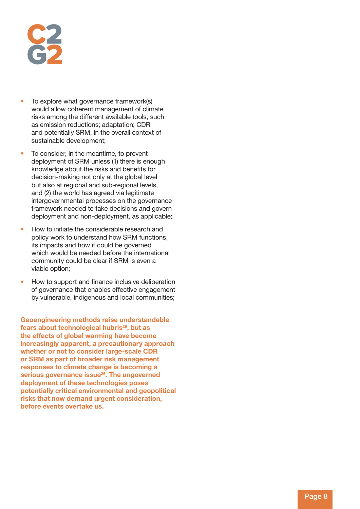- To explore what governance framework(s) would allow coherent management of climate risks among the different available tools, such as emission reductions; adaptation; CDR and potentially SRM, in the overall context of sustainable development;
- To consider, in the meantime, to prevent deployment of SRM unless (1) there is enough knowledge about the risks and benefits for decision-making not only at the global level but also at regional and sub-regional levels, and (2) the world has agreed via legitimate intergovernmental processes on the governance framework needed to take decisions and govern deployment and non-deployment, as applicable;
- How to initiate the considerable research and policy work to understand how SRM functions, its impacts and how it could be governed which would be needed before the international community could be clear if SRM is even a viable option;
- How to support and finance inclusive deliberation of governance that enables effective engagement by vulnerable, indigenous and local communities;

Geoengineering methods raise understandable fears about technological hubris<sup>28</sup>, but as the effects of global warming have become increasingly apparent, a precautionary approach whether or not to consider large-scale CDR or SRM as part of broader risk management responses to climate change is becoming a serious governance issue<sup>26</sup>. The ungoverned deployment of these technologies poses potentially critical environmental and geopolitical risks that now demand urgent consideration, before events overtake us.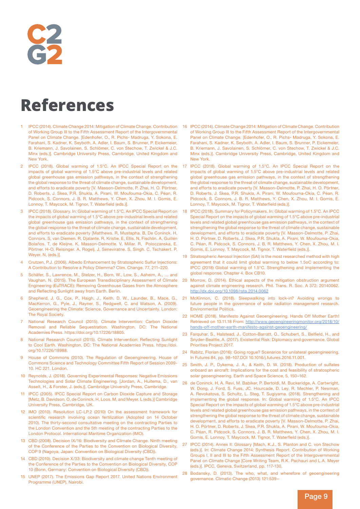### **References**

- 1 IPCC (2014). Climate Change 2014: Mitigation of Climate Change. Contribution of Working Group III to the Fifth Assessment Report of the Intergovernmental Panel on Climate Change. [Edenhofer, O., R. Pichs- Madruga, Y. Sokona, E. Farahani, S. Kadner, K. Seyboth, A. Adler, I. Baum, S. Brunner, P. Eickemeier, B. Kriemann, J. Savolainen, S. Schlömer, C. von Stechow, T. Zwickel & J.C. Minx (eds.)]. Cambridge University Press, Cambridge, United Kingdom and New York.
- IPCC (2018). Global warming of 1.5°C. An IPCC Special Report on the impacts of global warming of 1.5°C above pre-industrial levels and related global greenhouse gas emission pathways, in the context of strengthening the global response to the threat of climate change, sustainable development, and efforts to eradicate poverty [V. Masson-Delmotte, P. Zhai, H. O. Pörtner, D. Roberts, J. Skea, P.R. Shukla, A. Pirani, W. Moufouma-Okia, C. Péan, R. Pidcock, S. Connors, J. B. R. Matthews, Y. Chen, X. Zhou, M. I. Gomis, E. Lonnoy, T. Maycock, M. Tignor, T. Waterfield (eds.)].
- 3 IPCC (2018). Glossary. In: Global warming of 1.5°C. An IPCC Special Report on the impacts of global warming of 1.5°C above pre-industrial levels and related global greenhouse gas emission pathways, in the context of strengthening the global response to the threat of climate change, sustainable development, and efforts to eradicate poverty [Matthews. R, Mustapha. B, De Coninck. H, Connors. S, van Diemen. R, Djalante. R, Kristie. E, Ellis. N, Fischlin. A, Guillén Bolaños. T, de Kleijne. K, Masson-Delmotte. V, Millar. R, Poloczanska, E. Pörtner. H-O, Reisinger. A, Rogelj. J, Seneviratne. S, Singh. C, Tschakert. P, Weyer. N, (eds.)].
- Crutzen, P.J. (2006). Albedo Enhancement by Stratospheric Sulfur Injections: A Contribution to Resolve a Policy Dilemma? Clim. Change. 77, 211–220.
- 5 Schäfer, S., Lawrence, M., Stelzer, H., Born, W., Low, S., Aaheim, A., … and Vaughan, N. (2015). The European Transdisciplinary Assessment of Climate Engineering (EuTRACE): Removing Greenhouse Gases from the Atmosphere and Reflecting Sunlight away from Earth. Berlin.
- 6 Shepherd, J. G., Cox, P., Haigh, J., Keith, D. W., Launder, B., Mace, G., MacKerron, G., Pyle, J., Rayner, S., Redgwell, C. and Watson, A. (2009). Geoengineering the Climate: Science, Governance and Uncertainty. London: The Royal Society.
- 7 National Research Council (2015). Climate Intervention: Carbon Dioxide Removal and Reliable Sequestration. Washington, DC: The National Academies Press. https://doi.org/10.17226/18805.
- 8 National Research Council (2015). Climate Intervention: Reflecting Sunlight to Cool Earth. Washington, DC: The National Academies Press. https://doi. org/10.17226/18988.
- House of Commons (2010). The Regulation of Geoengineering. House of Commons Science and Technology Committee Fifth Report of Session 2009- 10. HC 221. London.
- 10 Reynolds, J. (2018). Governing Experimental Responses: Negative Emissions Technologies and Solar Climate Engineering. [Jordan, A., Huitema, D., van Asselt, H., & Forster, J. (eds.)]. Cambridge University Press, Cambridge.
- 11 IPCC (2005). IPCC Special Report on Carbon Dioxide Capture and Storage [Metz, B. Davidson. O, de Coninck. H, Loos. M, and Meyer. L (eds.)] Cambridge University Press, Cambridge, UK.
- 12 IMO (2010). Resolution LC-LP.2 (2010) On the assessment framework for scientific research involving ocean fertilization (Adopted on 14 October 2010). The thirty-second consultative meeting on the contracting Parties to the London Convention and the 5th meeting of the contracting Parties to the London Protocol. International Maritime Organization (IMO).
- 13 CBD (2008). Decision IX/16: Biodiversity and Climate Change. Ninth meeting of the Conference of the Parties to the Convention on Biological Diversity, COP 9 (Nagoya, Japan: Convention on Biological Diversity (CBD)).
- 14 CBD (2010). Decision X/33: Biodiversity and climate change Tenth meeting of the Conference of the Parties to the Convention on Biological Diversity, COP 10 (Bonn, Germany: Convention on Biological Diversity (CBD)).
- 15 UNEP (2017). The Emissions Gap Report 2017. United Nations Environment Programme (UNEP), Nairobi.
- 16 IPCC (2014). Climate Change 2014: Mitigation of Climate Change. Contribution of Working Group III to the Fifth Assessment Report of the Intergovernmental Panel on Climate Change. [Edenhofer, O., R. Pichs- Madruga, Y. Sokona, E. Farahani, S. Kadner, K. Seyboth, A. Adler, I. Baum, S. Brunner, P. Eickemeier, B. Kriemann, J. Savolainen, S. Schlömer, C. von Stechow, T. Zwickel & J.C. Minx (eds.)]. Cambridge University Press, Cambridge, United Kingdom and New York.
- 17 IPCC (2018). Global warming of 1.5°C. An IPCC Special Report on the impacts of global warming of 1.5°C above pre-industrial levels and related global greenhouse gas emission pathways, in the context of strengthening the global response to the threat of climate change, sustainable development, and efforts to eradicate poverty [V. Masson-Delmotte, P. Zhai, H. O. Pörtner, D. Roberts, J. Skea, P.R. Shukla, A. Pirani, W. Moufouma-Okia, C. Péan, R. Pidcock, S. Connors, J. B. R. Matthews, Y. Chen, X. Zhou, M. I. Gomis, E. Lonnoy, T. Maycock, M. Tignor, T. Waterfield (eds.)].
- 18 IPCC (2018). Summary for Policymakers. In: Global warming of 1.5°C. An IPCC Special Report on the impacts of global warming of 1.5°C above pre-industrial levels and related global greenhouse gas emission pathways, in the context of strengthening the global response to the threat of climate change, sustainable development, and efforts to eradicate poverty [V. Masson-Delmotte, P. Zhai, H. O. Pörtner, D. Roberts, J. Skea, P.R. Shukla, A. Pirani, W. Moufouma-Okia, C. Péan, R. Pidcock, S. Connors, J. B. R. Matthews, Y. Chen, X. Zhou, M. I. Gomis, E. Lonnoy, T. Maycock, M. Tignor, T. Waterfield (eds.)].
- 19 Stratospheric Aerosol Injection (SAI) is the most researched method with high agreement that it could limit global warming to below 1.5oC according to: IPCC (2018) Global warming of 1.5°C. Strengthening and implementing the global response. Chapter 4. Box CB10.
- 20 Morrow, D. (2014). Ethical aspects of the mitigation obstruction argument against climate engineering research. Phil. Trans. R. Soc. A 372: 20140062. http://dx.doi.org/10.1098/rsta.2014.0062
- McKinnon, C. (2018). Sleepwalking into lock-in? Avoiding wrongs to future people in the governance of solar radiation management research. Environmental Politics.
- 22 HOME (2018). Manifesto Against Geoengineering. Hands Off Mother Earth! Retrieved on 13.11.18 From: http://www.geoengineeringmonitor.org/2018/10/ hands-off-mother-earth-manifesto-against-geoengineering/
- 23 Farquhar, S., Halstead, J., Cotton-Barratt, O., Schubert, S., Belfield, H., and Snyder-Beattie, A. (2017). Existential Risk: Diplomacy and governance. Global Priorities Project 2017.
- 24 Rabitz, Florian (2016): Going rogue? Scenarios for unilateral geoengineering. In Futures 84, pp. 98–107.DOI 10.1016/j.futures.2016.11.001.
- 25 Smith, J. P., Dykema, J. A., & Keith, D. W. (2018). Production of sulfates onboard an aircraft: Implications for the cost and feasibility of stratospheric solar geoengineering. Earth and Space Science, 5, 150–162.
- 26 de Coninck. H, A. Revi, M. Babiker, P. Bertoldi, M. Buckeridge, A. Cartwright, W. Dong, J. Ford, S. Fuss, JC. Hourcade, D. Ley, R. Mechler, P. Newman, A. Revokatova, S. Schultz, L. Steg, T. Sugiyama. (2018). Strengthening and implementing the global response. In: Global warming of 1.5°C. An IPCC Special Report on the impacts of global warming of 1.5°C above pre-industrial levels and related global greenhouse gas emission pathways, in the context of strengthening the global response to the threat of climate change, sustainable development, and efforts to eradicate poverty [V. Masson-Delmotte, P. Zhai, H. O. Pörtner, D. Roberts, J. Skea, P.R. Shukla, A. Pirani, W. Moufouma-Okia, C. Péan, R. Pidcock, S. Connors, J. B. R. Matthews, Y. Chen, X. Zhou, M. I. Gomis, E. Lonnoy, T. Maycock, M. Tignor, T. Waterfield (eds.)].
- 27 IPCC (2014). Annex II: Glossary [Mach, K.J., S. Planton and C. von Stechow (eds.)]. In: Climate Change 2014: Synthesis Report. Contribution of Working Groups I, II and III to the Fifth Assessment Report of the Intergovernmental Panel on Climate Change [Core Writing Team, R.K. Pachauri and L.A. Meyer (eds.)]. IPCC, Geneva, Switzerland, pp. 117-130.
- 28 Bodansky, D. (2013). The who, what, and wherefore of geoengineering governance. Climatic Change (2013) 121:539–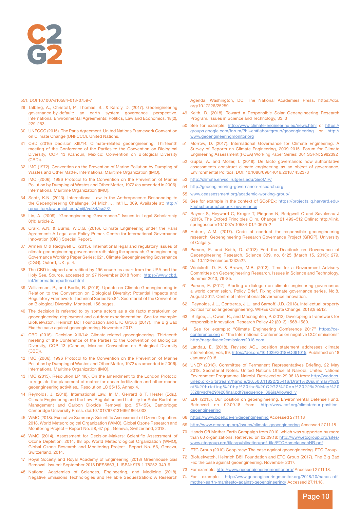

#### 551. DOI 10.1007/s10584-013-0759-7

- 29 Talberg, A., Christoff, P., Thomas, S., & Karoly, D. (2017). Geoengineering governance-by-default: an earth system governance perspective. International Environmental Agreements: Politics, Law and Economics, 18(2), 229-253.
- 30 UNFCCC (2015). The Paris Agreement. United Nations Framework Convention on Climate Change (UNFCCC). United Nations.
- 31 CBD (2016) Decision XIII/14: Climate-related geoengineering. Thirteenth meeting of the Conference of the Parties to the Convention on Biological Diversity, COP 13 (Cancun, Mexico: Convention on Biological Diversity (CBD)).
- 32 IMO (1972). Convention on the Prevention of Marine Pollution by Dumping of Wastes and Other Matter. International Maritime Organization (IMO).
- 33 IMO (2006). 1996 Protocol to the Convention on the Prevention of Marine Pollution by Dumping of Wastes and Other Matter, 1972 (as amended in 2006). International Maritime Organization (IMO).
- 34 Scott, K.N. (2013). International Law in the Anthropocene: Responding to the Geoengineering Challenge, 34 Mich. J. Int'l L. 309. Available at: http:// repository.law.umich.edu/mjil/vol34/iss2/2
- 35 Lin, A. (2009). "Geoengineering Governance." Issues in Legal Scholarship 8(1): article 2.
- 36 Craik, A.N. & Burns, W.C.G. (2016). Climate Engineering under the Paris Agreement: A Legal and Policy Primer. Centre for International Governance Innovation (CIGI) Special Report.
- 37 Armeni C & Redgwell C, (2015). International legal and regulatory issues of climate geoengineering governance: rethinking the approach, Geoengineering Governance Working Paper Series: 021. Climate Geoengineering Governance (CGG). Oxford, UK, p. 4.
- 38 The CBD is signed and ratified by 196 countries apart from the USA and the Holy See. Source, accessed on 27 November 2018 from: https://www.cbd. int/information/parties.shtml
- 39 Williamson, P., and Bodle, R. (2016). Update on Climate Geoengineering in Relation to the Convention on Biological Diversity: Potential Impacts and Regulatory Framework. Technical Series No.84. Secretariat of the Convention on Biological Diversity, Montreal, 158 pages.
- 40 The decision is referred to by some actors as a de facto moratorium on geoengineering deployment and outdoor experimentation. See for example: Biofuelwatch, Heinrich Böll Foundation and ETC Group (2017). The Big Bad Fix: the case against geoengineering. November 2017.
- 41 CBD (2016). Decision XIII/14: Climate-related geoengineering. Thirteenth meeting of the Conference of the Parties to the Convention on Biological Diversity, COP 13 (Cancun, Mexico: Convention on Biological Diversity (CBD)).
- 42 IMO (2006). 1996 Protocol to the Convention on the Prevention of Marine Pollution by Dumping of Wastes and Other Matter, 1972 (as amended in 2006). International Maritime Organization (IMO).
- 43 IMO (2013). Resolution LP 4(8). On the amendment to the London Protocol to regulate the placement of matter for ocean fertilization and other marine geoengineering activities., Resolution LC 35/15, Annex 4.
- 44 Reynolds, J. (2018). International Law. In M. Gerrard & T. Hester (Eds.), Climate Engineering and the Law: Regulation and Liability for Solar Radiation Management and Carbon Dioxide Removal (pp. 57-153). Cambridge: Cambridge University Press. doi:10.1017/9781316661864.003
- 45 WMO (2018). Executive Summary: Scientific Assessment of Ozone Depletion: 2018, World Meteorological Organization (WMO), Global Ozone Research and Monitoring Project – Report No. 58, 67 pp., Geneva, Switzerland, 2018.
- 46 WMO (2014). Assessment for Decision-Makers: Scientific Assessment of Ozone Depletion: 2014, 88 pp. World Meteorological Organization (WMO), Global Ozone Research and Monitoring Project—Report No. 56, Geneva, Switzerland, 2014.
- 47 Royal Society and Royal Academy of Engineering (2018) Greenhouse Gas Removal. Issued: September 2018 DES5563\_1. ISBN: 978-1-78252-349-9
- 48 National Academies of Sciences, Engineering, and Medicine (2018). Negative Emissions Technologies and Reliable Sequestration: A Research

Agenda. Washington, DC: The National Academies Press. https://doi. org/10.17226/25259

- 49 Keith, D. (2018). Toward a Responsible Solar Geoengineering Research Program. Issues in Science and Technology, 33, 3
- 50 See for example: http://www.climate-engineering.eu/news.html or https:// groups.google.com/forum/?hl=en#!aboutgroup/geoengineering or http:// www.geoengineeringmonitor.org
- 51 Morrow, D. (2017). International Governance for Climate Engineering. A Survey of Reports on Climate Engineering, 2009-2015. Forum for Climate Engineering Assessment (FCEA) Working Paper Series: 001 SSRN: 2982392
- 52 Gupta, A. and Möller, I. (2018): De facto governance: how authoritative assessments construct climate engineering as an object of governance, Environmental Politics, DOI: 10.1080/09644016.2018.1452373
- 53 http://climate.envsci.rutgers.edu/GeoMIP/
- 54 http://geoengineering-governance-research.org
- 55 www.ceassessment.org/academic-working-group/
- 56 See for example in the context of SCoPEx: https://projects.iq.harvard.edu/ keutschgroup/scopex-governance
- 57 Rayner S, Heyward C, Kruger T, Pidgeon N, Redgwell C and Savulescu J (2013). The Oxford Principles Clim. Change 121 499–512 Online: http://link. springer.com/10.1007/s10584-012-0675-2
- 58 Hubert, A-M. (2017). Code of conduct for responsible geoengineering research. Geoengineering Research Governance Project (GRGP). University of Calgary.
- 59 Parson, E. and Keith, D. (2013) End the Deadlock on Governance of Geoengineering Research. Science 339. no. 6125 (March 15, 2013): 279, doi:10.1126/science.1232527.
- 60 Winickoff, D. E. & Brown, M.B. (2013). Time for a Government Advisory Committee on Geoengineering Research. Issues in Science and Technology, Summer 2013, 79-85.
- 61 Parson, E. (2017). Starting a dialogue on climate engineering governance: a world commission. Policy Brief. Fixing climate governance series. No.8. August 2017. Centre of International Governance Innovation.
- 62 Reynolds, J.L., Contreras, J.L., and Sarnoff, J.D. (2018). Intellectual property politics for solar geoengineering. WIREs Climate Change. 2018;9:e512.
- 63 Stilgoe, J., Owen, R., and Macnaghten, P. (2013) Developing a framework for responsible innovation. Research Policy 42 (2013) 1568-1580.
- 64 See for example: "Climate Engineering Conference 2017" https://ceconference.org or "the International Conference on negative CO2 emissions" http://negativeco2emissions2018.com
- 65 Landau, E. (2018), Revised AGU position statement addresses climate intervention, Eos, 99, https://doi.org/10.1029/2018EO091015. Published on 18 January 2018.
- 66 UNEP (2018). Committee of Permanent Representatives Briefing, 22 May 2018. Secretariat Notes. United Nations Office at Nairobi. United Nations Environment Programme. Nairobi. Retrieved on 29.08.18 from: http://wedocs. unep.org/bitstream/handle/20.500.11822/25416/Draft%20summary%20 of%20briefing%20by%20the%20C2G2%20on%2022%20May%20 %28rvsd%29%20final.pdf?sequence=39&isAllowed=y
- 67 EDF (2015). Our position on geoengineering. Environmental Defense Fund. Retrieved on 02.09.18 from: http://www.edf.org/climate/our-positiongeoengineering
- 68 https://www.boell.de/en/geoengineering Accessed 27.11.18
- 69 http://www.etcgroup.org/issues/climate-geoengineering Accessed 27.11.18
- 70 Hands Off Mother Earth Campaign from 2010, which was supported by more than 60 organizations. Retrieved on 02.09.18: http://www.etcgroup.org/sites/ www.etcgroup.org/files/publication/pdf\_file/ETCHomelaunchNR.pdf
- 71 ETC Group (2010) Geopiracy: The case against geoengineering. ETC Group.
- 72 Biofuelwatch, Heinrich Böll Foundation and ETC Group (2017). The Big Bad Fix: the case against geoengineering. November 2017.
- 73 For example: http://www.geoengineeringmonitor.org/ Accessed 27.11.18.
- 74 For example: http://www.geoengineeringmonitor.org/2018/10/hands-offmother-earth-manifesto-against-geoengineering/ Accessed 27.11.18.